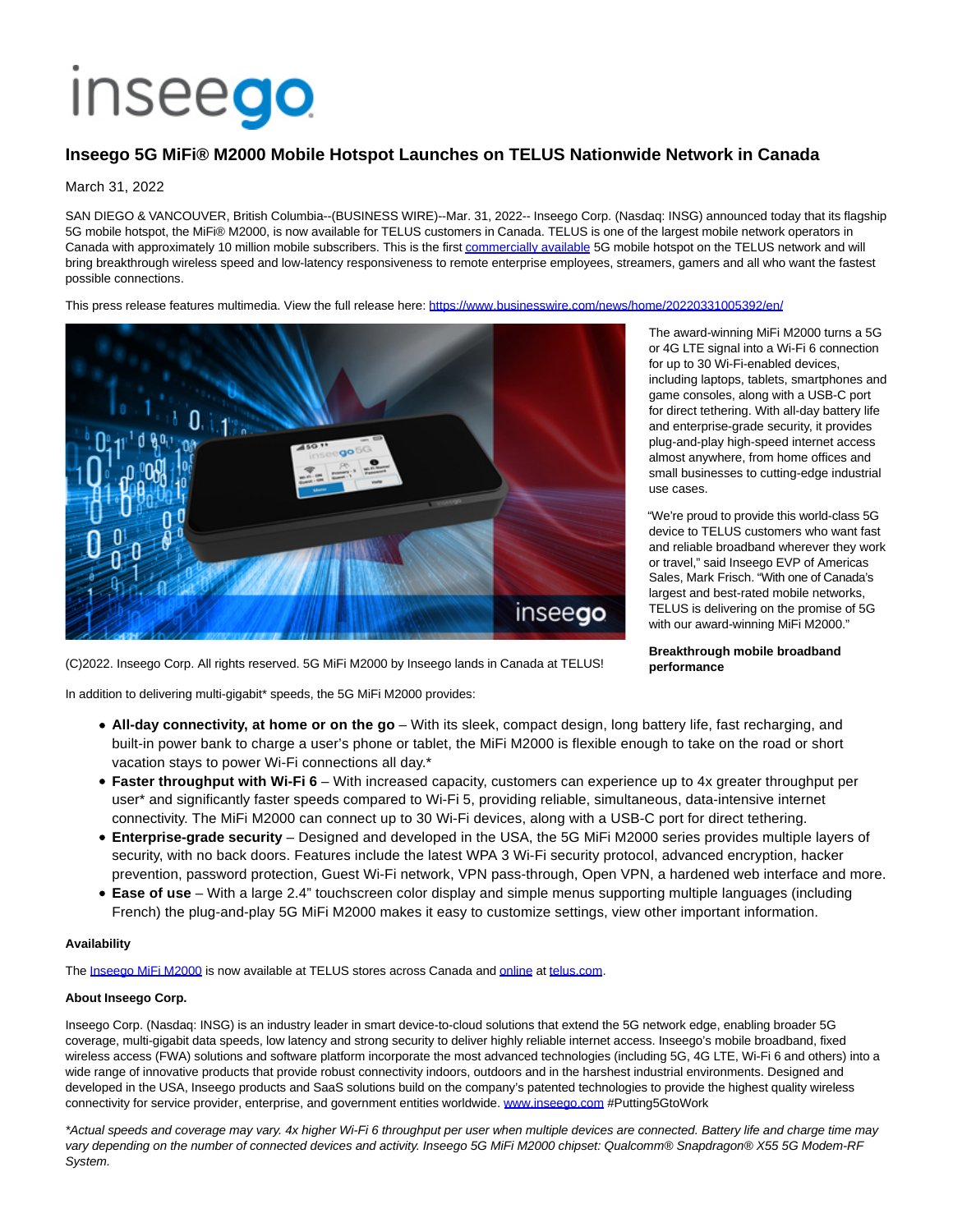# **Inseego**

## **Inseego 5G MiFi® M2000 Mobile Hotspot Launches on TELUS Nationwide Network in Canada**

#### March 31, 2022

SAN DIEGO & VANCOUVER, British Columbia--(BUSINESS WIRE)--Mar. 31, 2022-- Inseego Corp. (Nasdaq: INSG) announced today that its flagship 5G mobile hotspot, the MiFi® M2000, is now available for TELUS customers in Canada. TELUS is one of the largest mobile network operators in Canada with approximately 10 million mobile subscribers. This is the firs[t commercially available 5](https://cts.businesswire.com/ct/CT?id=smartlink&url=https%3A%2F%2Fwww.telus.com%2Fmobility%2Fconfigure%3Fproduct%3Dinseego-mifi-m2000-5g-mobile-hotspot&esheet=52635200&newsitemid=20220331005392&lan=en-US&anchor=commercially+available&index=1&md5=c5ea2c8dc9f953c576889f339f9304f9)G mobile hotspot on the TELUS network and will bring breakthrough wireless speed and low-latency responsiveness to remote enterprise employees, streamers, gamers and all who want the fastest possible connections.

This press release features multimedia. View the full release here:<https://www.businesswire.com/news/home/20220331005392/en/>



The award-winning MiFi M2000 turns a 5G or 4G LTE signal into a Wi-Fi 6 connection for up to 30 Wi-Fi-enabled devices, including laptops, tablets, smartphones and game consoles, along with a USB-C port for direct tethering. With all-day battery life and enterprise-grade security, it provides plug-and-play high-speed internet access almost anywhere, from home offices and small businesses to cutting-edge industrial use cases.

"We're proud to provide this world-class 5G device to TELUS customers who want fast and reliable broadband wherever they work or travel," said Inseego EVP of Americas Sales, Mark Frisch. "With one of Canada's largest and best-rated mobile networks, TELUS is delivering on the promise of 5G with our award-winning MiFi M2000."

**Breakthrough mobile broadband performance**

(C)2022. Inseego Corp. All rights reserved. 5G MiFi M2000 by Inseego lands in Canada at TELUS!

In addition to delivering multi-gigabit\* speeds, the 5G MiFi M2000 provides:

- **All-day connectivity, at home or on the go** With its sleek, compact design, long battery life, fast recharging, and built-in power bank to charge a user's phone or tablet, the MiFi M2000 is flexible enough to take on the road or short vacation stays to power Wi-Fi connections all day.\*
- **Faster throughput with Wi-Fi 6** With increased capacity, customers can experience up to 4x greater throughput per user\* and significantly faster speeds compared to Wi-Fi 5, providing reliable, simultaneous, data-intensive internet connectivity. The MiFi M2000 can connect up to 30 Wi-Fi devices, along with a USB-C port for direct tethering.
- **Enterprise-grade security** Designed and developed in the USA, the 5G MiFi M2000 series provides multiple layers of security, with no back doors. Features include the latest WPA 3 Wi-Fi security protocol, advanced encryption, hacker prevention, password protection, Guest Wi-Fi network, VPN pass-through, Open VPN, a hardened web interface and more.
- **Ease of use** With a large 2.4" touchscreen color display and simple menus supporting multiple languages (including French) the plug-and-play 5G MiFi M2000 makes it easy to customize settings, view other important information.

#### **Availability**

The [Inseego MiFi M2000 i](https://cts.businesswire.com/ct/CT?id=smartlink&url=https%3A%2F%2Finseego.com%2Fproducts%2Fmobile%2Fmifi-m2000%2F&esheet=52635200&newsitemid=20220331005392&lan=en-US&anchor=Inseego+MiFi+M2000&index=2&md5=e1769e711262b3033c336f82b86a8e11)s now available at TELUS stores across Canada an[d online a](https://cts.businesswire.com/ct/CT?id=smartlink&url=https%3A%2F%2Fwww.telus.com%2Fmobility%2Fconfigure%3Fproduct%3Dinseego-mifi-m2000-5g-mobile-hotspot&esheet=52635200&newsitemid=20220331005392&lan=en-US&anchor=online&index=3&md5=a8dec6f86d40b1927596eddd5f996f49)[t telus.com.](http://telus.com/)

### **About Inseego Corp.**

Inseego Corp. (Nasdaq: INSG) is an industry leader in smart device-to-cloud solutions that extend the 5G network edge, enabling broader 5G coverage, multi-gigabit data speeds, low latency and strong security to deliver highly reliable internet access. Inseego's mobile broadband, fixed wireless access (FWA) solutions and software platform incorporate the most advanced technologies (including 5G, 4G LTE, Wi-Fi 6 and others) into a wide range of innovative products that provide robust connectivity indoors, outdoors and in the harshest industrial environments. Designed and developed in the USA, Inseego products and SaaS solutions build on the company's patented technologies to provide the highest quality wireless connectivity for service provider, enterprise, and government entities worldwide. [www.inseego.com #](https://cts.businesswire.com/ct/CT?id=smartlink&url=http%3A%2F%2Fwww.inseego.com&esheet=52635200&newsitemid=20220331005392&lan=en-US&anchor=www.inseego.com&index=4&md5=c9b388f5f83f0a048f4cfdc5f5ff3bbe)Putting5GtoWork

\*Actual speeds and coverage may vary. 4x higher Wi-Fi 6 throughput per user when multiple devices are connected. Battery life and charge time may vary depending on the number of connected devices and activity. Inseego 5G MiFi M2000 chipset: Qualcomm® Snapdragon® X55 5G Modem-RF System.